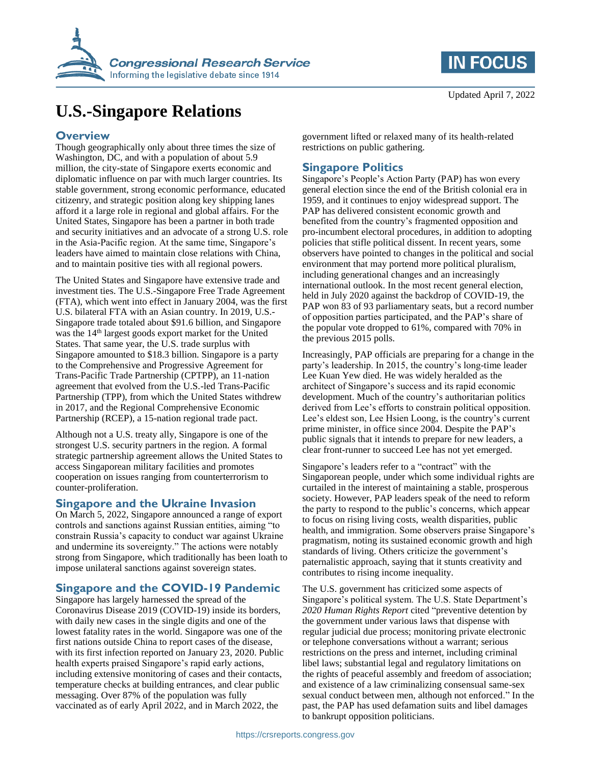

# **U.S.-Singapore Relations**

#### **Overview**

Though geographically only about three times the size of Washington, DC, and with a population of about 5.9 million, the city-state of Singapore exerts economic and diplomatic influence on par with much larger countries. Its stable government, strong economic performance, educated citizenry, and strategic position along key shipping lanes afford it a large role in regional and global affairs. For the United States, Singapore has been a partner in both trade and security initiatives and an advocate of a strong U.S. role in the Asia-Pacific region. At the same time, Singapore's leaders have aimed to maintain close relations with China, and to maintain positive ties with all regional powers.

The United States and Singapore have extensive trade and investment ties. The U.S.-Singapore Free Trade Agreement (FTA), which went into effect in January 2004, was the first U.S. bilateral FTA with an Asian country. In 2019, U.S.- Singapore trade totaled about \$91.6 billion, and Singapore was the 14<sup>th</sup> largest goods export market for the United States. That same year, the U.S. trade surplus with Singapore amounted to \$18.3 billion. Singapore is a party to the Comprehensive and Progressive Agreement for Trans-Pacific Trade Partnership (CPTPP), an 11-nation agreement that evolved from the U.S.-led Trans-Pacific Partnership (TPP), from which the United States withdrew in 2017, and the Regional Comprehensive Economic Partnership (RCEP), a 15-nation regional trade pact.

Although not a U.S. treaty ally, Singapore is one of the strongest U.S. security partners in the region. A formal strategic partnership agreement allows the United States to access Singaporean military facilities and promotes cooperation on issues ranging from counterterrorism to counter-proliferation.

#### **Singapore and the Ukraine Invasion**

On March 5, 2022, Singapore announced a range of export controls and sanctions against Russian entities, aiming "to constrain Russia's capacity to conduct war against Ukraine and undermine its sovereignty." The actions were notably strong from Singapore, which traditionally has been loath to impose unilateral sanctions against sovereign states.

# **Singapore and the COVID-19 Pandemic**

Singapore has largely harnessed the spread of the Coronavirus Disease 2019 (COVID-19) inside its borders, with daily new cases in the single digits and one of the lowest fatality rates in the world. Singapore was one of the first nations outside China to report cases of the disease, with its first infection reported on January 23, 2020. Public health experts praised Singapore's rapid early actions, including extensive monitoring of cases and their contacts, temperature checks at building entrances, and clear public messaging. Over 87% of the population was fully vaccinated as of early April 2022, and in March 2022, the

government lifted or relaxed many of its health-related restrictions on public gathering.

### **Singapore Politics**

Singapore's People's Action Party (PAP) has won every general election since the end of the British colonial era in 1959, and it continues to enjoy widespread support. The PAP has delivered consistent economic growth and benefited from the country's fragmented opposition and pro-incumbent electoral procedures, in addition to adopting policies that stifle political dissent. In recent years, some observers have pointed to changes in the political and social environment that may portend more political pluralism, including generational changes and an increasingly international outlook. In the most recent general election, held in July 2020 against the backdrop of COVID-19, the PAP won 83 of 93 parliamentary seats, but a record number of opposition parties participated, and the PAP's share of the popular vote dropped to 61%, compared with 70% in the previous 2015 polls.

Increasingly, PAP officials are preparing for a change in the party's leadership. In 2015, the country's long-time leader Lee Kuan Yew died. He was widely heralded as the architect of Singapore's success and its rapid economic development. Much of the country's authoritarian politics derived from Lee's efforts to constrain political opposition. Lee's eldest son, Lee Hsien Loong, is the country's current prime minister, in office since 2004. Despite the PAP's public signals that it intends to prepare for new leaders, a clear front-runner to succeed Lee has not yet emerged.

Singapore's leaders refer to a "contract" with the Singaporean people, under which some individual rights are curtailed in the interest of maintaining a stable, prosperous society. However, PAP leaders speak of the need to reform the party to respond to the public's concerns, which appear to focus on rising living costs, wealth disparities, public health, and immigration. Some observers praise Singapore's pragmatism, noting its sustained economic growth and high standards of living. Others criticize the government's paternalistic approach, saying that it stunts creativity and contributes to rising income inequality.

The U.S. government has criticized some aspects of Singapore's political system. The U.S. State Department's *2020 Human Rights Report* cited "preventive detention by the government under various laws that dispense with regular judicial due process; monitoring private electronic or telephone conversations without a warrant; serious restrictions on the press and internet, including criminal libel laws; substantial legal and regulatory limitations on the rights of peaceful assembly and freedom of association; and existence of a law criminalizing consensual same-sex sexual conduct between men, although not enforced." In the past, the PAP has used defamation suits and libel damages to bankrupt opposition politicians.

Updated April 7, 2022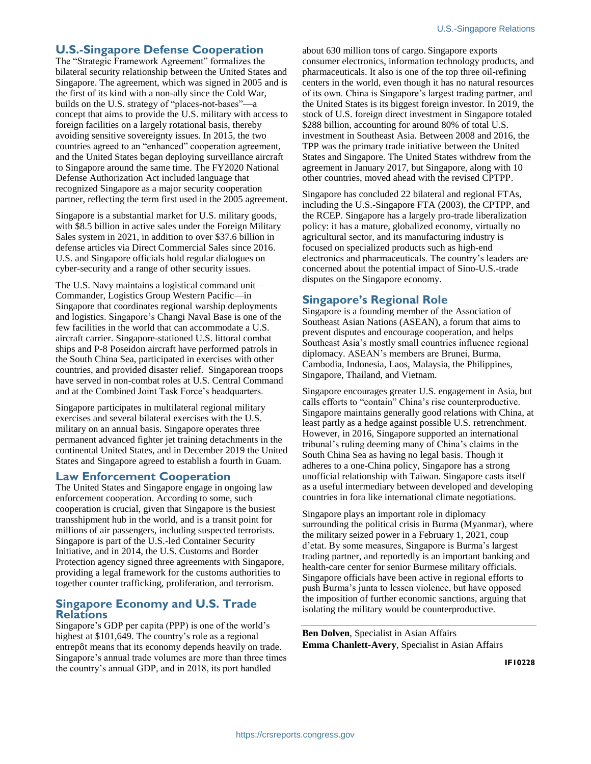## **U.S.-Singapore Defense Cooperation**

The "Strategic Framework Agreement" formalizes the bilateral security relationship between the United States and Singapore. The agreement, which was signed in 2005 and is the first of its kind with a non-ally since the Cold War, builds on the U.S. strategy of "places-not-bases"—a concept that aims to provide the U.S. military with access to foreign facilities on a largely rotational basis, thereby avoiding sensitive sovereignty issues. In 2015, the two countries agreed to an "enhanced" cooperation agreement, and the United States began deploying surveillance aircraft to Singapore around the same time. The FY2020 National Defense Authorization Act included language that recognized Singapore as a major security cooperation partner, reflecting the term first used in the 2005 agreement.

Singapore is a substantial market for U.S. military goods, with \$8.5 billion in active sales under the Foreign Military Sales system in 2021, in addition to over \$37.6 billion in defense articles via Direct Commercial Sales since 2016. U.S. and Singapore officials hold regular dialogues on cyber-security and a range of other security issues.

The U.S. Navy maintains a logistical command unit— Commander, Logistics Group Western Pacific—in Singapore that coordinates regional warship deployments and logistics. Singapore's Changi Naval Base is one of the few facilities in the world that can accommodate a U.S. aircraft carrier. Singapore-stationed U.S. littoral combat ships and P-8 Poseidon aircraft have performed patrols in the South China Sea, participated in exercises with other countries, and provided disaster relief. Singaporean troops have served in non-combat roles at U.S. Central Command and at the Combined Joint Task Force's headquarters.

Singapore participates in multilateral regional military exercises and several bilateral exercises with the U.S. military on an annual basis. Singapore operates three permanent advanced fighter jet training detachments in the continental United States, and in December 2019 the United States and Singapore agreed to establish a fourth in Guam.

#### **Law Enforcement Cooperation**

The United States and Singapore engage in ongoing law enforcement cooperation. According to some, such cooperation is crucial, given that Singapore is the busiest transshipment hub in the world, and is a transit point for millions of air passengers, including suspected terrorists. Singapore is part of the U.S.-led Container Security Initiative, and in 2014, the U.S. Customs and Border Protection agency signed three agreements with Singapore, providing a legal framework for the customs authorities to together counter trafficking, proliferation, and terrorism.

#### **Singapore Economy and U.S. Trade Relations**

Singapore's GDP per capita (PPP) is one of the world's highest at \$101,649. The country's role as a regional entrepôt means that its economy depends heavily on trade. Singapore's annual trade volumes are more than three times the country's annual GDP, and in 2018, its port handled

about 630 million tons of cargo. Singapore exports consumer electronics, information technology products, and pharmaceuticals. It also is one of the top three oil-refining centers in the world, even though it has no natural resources of its own. China is Singapore's largest trading partner, and the United States is its biggest foreign investor. In 2019, the stock of U.S. foreign direct investment in Singapore totaled \$288 billion, accounting for around 80% of total U.S. investment in Southeast Asia. Between 2008 and 2016, the TPP was the primary trade initiative between the United States and Singapore. The United States withdrew from the agreement in January 2017, but Singapore, along with 10 other countries, moved ahead with the revised CPTPP.

Singapore has concluded 22 bilateral and regional FTAs, including the U.S.-Singapore FTA (2003), the CPTPP, and the RCEP. Singapore has a largely pro-trade liberalization policy: it has a mature, globalized economy, virtually no agricultural sector, and its manufacturing industry is focused on specialized products such as high-end electronics and pharmaceuticals. The country's leaders are concerned about the potential impact of Sino-U.S.-trade disputes on the Singapore economy.

## **Singapore's Regional Role**

Singapore is a founding member of the Association of Southeast Asian Nations (ASEAN), a forum that aims to prevent disputes and encourage cooperation, and helps Southeast Asia's mostly small countries influence regional diplomacy. ASEAN's members are Brunei, Burma, Cambodia, Indonesia, Laos, Malaysia, the Philippines, Singapore, Thailand, and Vietnam.

Singapore encourages greater U.S. engagement in Asia, but calls efforts to "contain" China's rise counterproductive. Singapore maintains generally good relations with China, at least partly as a hedge against possible U.S. retrenchment. However, in 2016, Singapore supported an international tribunal's ruling deeming many of China's claims in the South China Sea as having no legal basis. Though it adheres to a one-China policy, Singapore has a strong unofficial relationship with Taiwan. Singapore casts itself as a useful intermediary between developed and developing countries in fora like international climate negotiations.

Singapore plays an important role in diplomacy surrounding the political crisis in Burma (Myanmar), where the military seized power in a February 1, 2021, coup d'etat. By some measures, Singapore is Burma's largest trading partner, and reportedly is an important banking and health-care center for senior Burmese military officials. Singapore officials have been active in regional efforts to push Burma's junta to lessen violence, but have opposed the imposition of further economic sanctions, arguing that isolating the military would be counterproductive.

**Ben Dolven**, Specialist in Asian Affairs **Emma Chanlett-Avery**, Specialist in Asian Affairs

**IF10228**